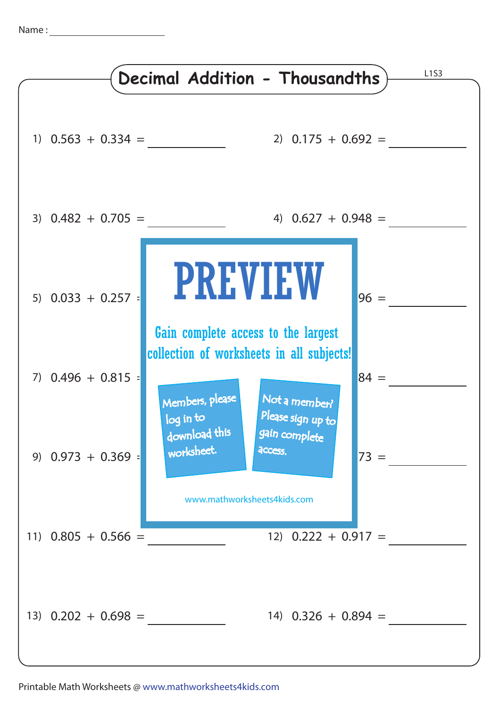